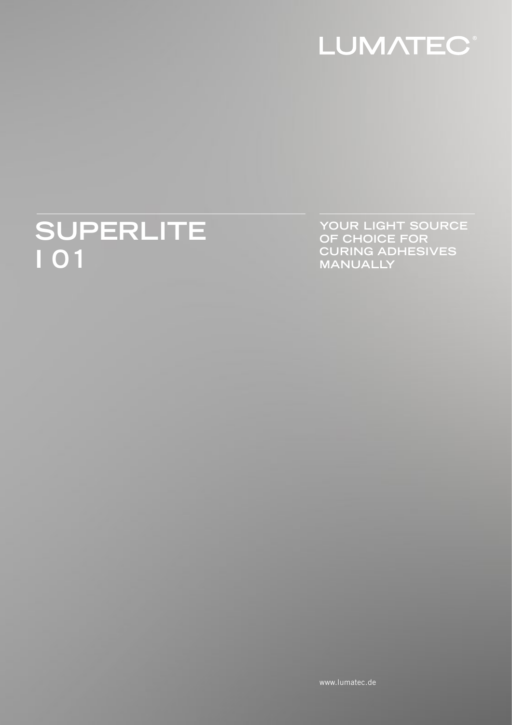

# SUPERLITE

YOUR LIGHT SOURCE OF CHOICE FOR<br>CURING ADHESIVES **MANUALLY**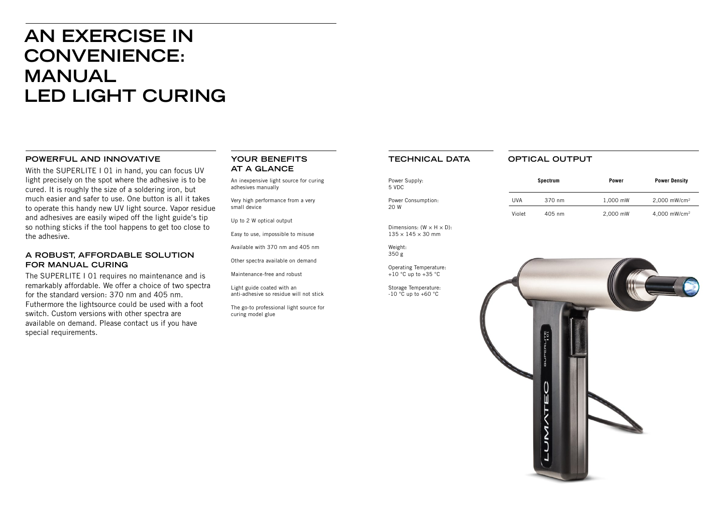## **AN EXERCISE IN CONVENIENCE: MANUAL LED LIGHT CURING**

#### **POWERFUL AND INNOVATIVE**

With the SUPERLITE I 01 in hand, you can focus UV light precisely on the spot where the adhesive is to be cured. It is roughly the size of a soldering iron, but much easier and safer to use. One button is all it takes to operate this handy new UV light source. Vapor residue and adhesives are easily wiped off the light guide's tip so nothing sticks if the tool happens to get too close to the adhesive.

#### **A ROBUST, AFFORDABLE SOLUTION FOR MANUAL CURING**

The SUPERLITE I 01 requires no maintenance and is remarkably affordable. We offer a choice of two spectra for the standard version: 370 nm and 405 nm. Futhermore the lightsource could be used with a foot switch. Custom versions with other spectra are available on demand. Please contact us if you have special requirements.

Operating Temperature:  $+10$  °C up to  $+35$  °C

Storage Temperature:  $-10$  °C up to  $+60$  °C

#### **YOUR BENEFITS AT A GLANCE**

An inexpensive light source for curing adhesives manually

Very high performance from a very small device

Up to 2 W optical output

Easy to use, impossible to misuse

Available with 370 nm and 405 nm

Other spectra available on demand

Maintenance-free and robust

Light guide coated with an anti-adhesive so residue will not stick

The go-to professional light source for curing model glue

#### **TECHNICAL DATA**

Power Supply: 5 VDC

Power Consumption: 20 W

Dimensions:  $(W \times H \times D)$ :  $135 \times 145 \times 30$  mm

Weight: 350 g

|        | <b>Spectrum</b> | <b>Power</b> | <b>Power Density</b>       |
|--------|-----------------|--------------|----------------------------|
| UVA    | 370 nm          | 1,000 mW     | $2,000$ mW/cm <sup>2</sup> |
| Violet | 405 nm          | 2,000 mW     | 4,000 mW/cm <sup>2</sup>   |

### **OPTICAL OUTPUT**